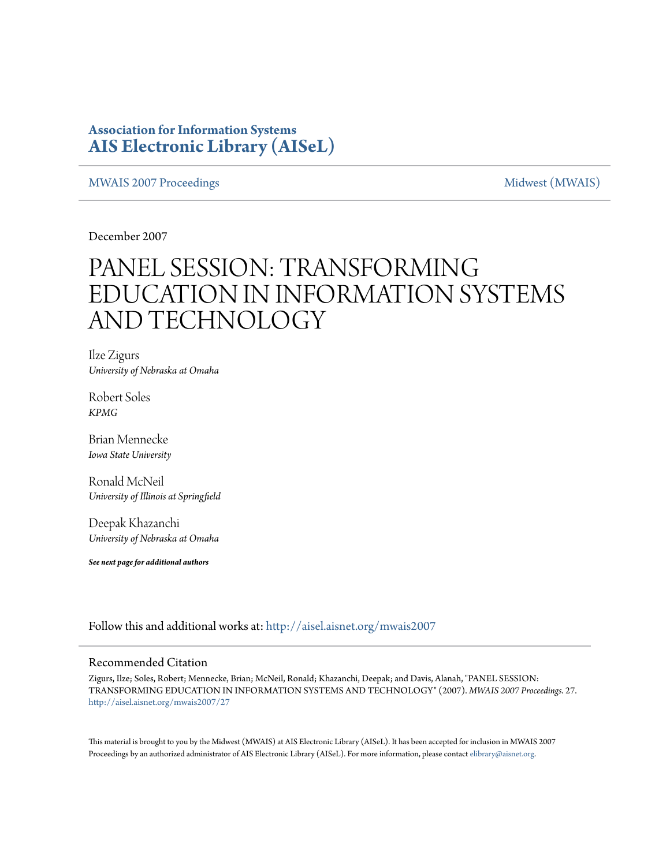### **Association for Information Systems [AIS Electronic Library \(AISeL\)](http://aisel.aisnet.org?utm_source=aisel.aisnet.org%2Fmwais2007%2F27&utm_medium=PDF&utm_campaign=PDFCoverPages)**

#### [MWAIS 2007 Proceedings](http://aisel.aisnet.org/mwais2007?utm_source=aisel.aisnet.org%2Fmwais2007%2F27&utm_medium=PDF&utm_campaign=PDFCoverPages) and the matrix of the [Midwest \(MWAIS\)](http://aisel.aisnet.org/mwais?utm_source=aisel.aisnet.org%2Fmwais2007%2F27&utm_medium=PDF&utm_campaign=PDFCoverPages)

December 2007

# PANEL SESSION: TRANSFORMING EDUCATION IN INFORMATION SYSTEMS AND TECHNOLOGY

Ilze Zigurs *University of Nebraska at Omaha*

Robert Soles *KPMG*

Brian Mennecke *Iowa State University*

Ronald McNeil *University of Illinois at Springfield*

Deepak Khazanchi *University of Nebraska at Omaha*

*See next page for additional authors*

Follow this and additional works at: [http://aisel.aisnet.org/mwais2007](http://aisel.aisnet.org/mwais2007?utm_source=aisel.aisnet.org%2Fmwais2007%2F27&utm_medium=PDF&utm_campaign=PDFCoverPages)

#### Recommended Citation

Zigurs, Ilze; Soles, Robert; Mennecke, Brian; McNeil, Ronald; Khazanchi, Deepak; and Davis, Alanah, "PANEL SESSION: TRANSFORMING EDUCATION IN INFORMATION SYSTEMS AND TECHNOLOGY" (2007). *MWAIS 2007 Proceedings*. 27. [http://aisel.aisnet.org/mwais2007/27](http://aisel.aisnet.org/mwais2007/27?utm_source=aisel.aisnet.org%2Fmwais2007%2F27&utm_medium=PDF&utm_campaign=PDFCoverPages)

This material is brought to you by the Midwest (MWAIS) at AIS Electronic Library (AISeL). It has been accepted for inclusion in MWAIS 2007 Proceedings by an authorized administrator of AIS Electronic Library (AISeL). For more information, please contact [elibrary@aisnet.org](mailto:elibrary@aisnet.org%3E).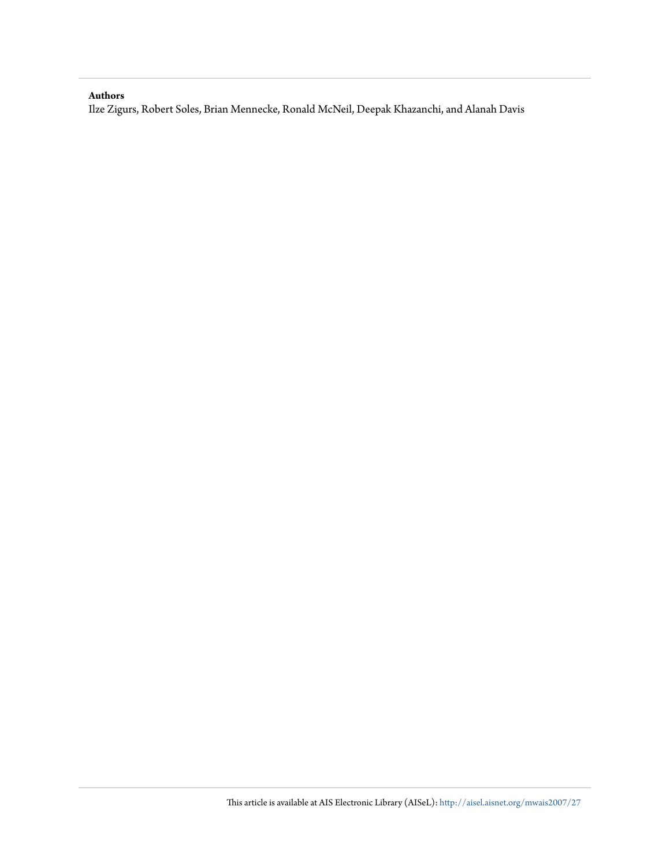#### **Authors**

Ilze Zigurs, Robert Soles, Brian Mennecke, Ronald McNeil, Deepak Khazanchi, and Alanah Davis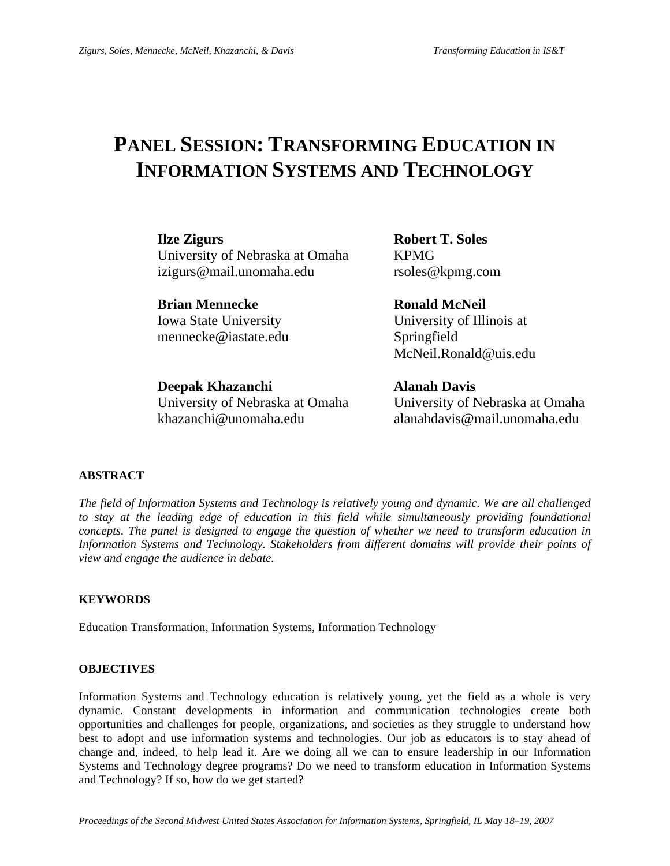## **PANEL SESSION: TRANSFORMING EDUCATION IN INFORMATION SYSTEMS AND TECHNOLOGY**

**Ilze Zigurs Robert T. Soles**  University of Nebraska at Omaha KPMG izigurs@mail.unomaha.edu rsoles@kpmg.com

**Brian Mennecke Ronald McNeil** mennecke@iastate.edu Springfield

Iowa State University University of Illinois at McNeil.Ronald@uis.edu

**Deepak Khazanchi Alanah Davis** University of Nebraska at Omaha University of Nebraska at Omaha khazanchi@unomaha.edu alanahdavis@mail.unomaha.edu

#### **ABSTRACT**

*The field of Information Systems and Technology is relatively young and dynamic. We are all challenged*  to stay at the leading edge of education in this field while simultaneously providing foundational *concepts. The panel is designed to engage the question of whether we need to transform education in Information Systems and Technology. Stakeholders from different domains will provide their points of view and engage the audience in debate.* 

#### **KEYWORDS**

Education Transformation, Information Systems, Information Technology

#### **OBJECTIVES**

Information Systems and Technology education is relatively young, yet the field as a whole is very dynamic. Constant developments in information and communication technologies create both opportunities and challenges for people, organizations, and societies as they struggle to understand how best to adopt and use information systems and technologies. Our job as educators is to stay ahead of change and, indeed, to help lead it. Are we doing all we can to ensure leadership in our Information Systems and Technology degree programs? Do we need to transform education in Information Systems and Technology? If so, how do we get started?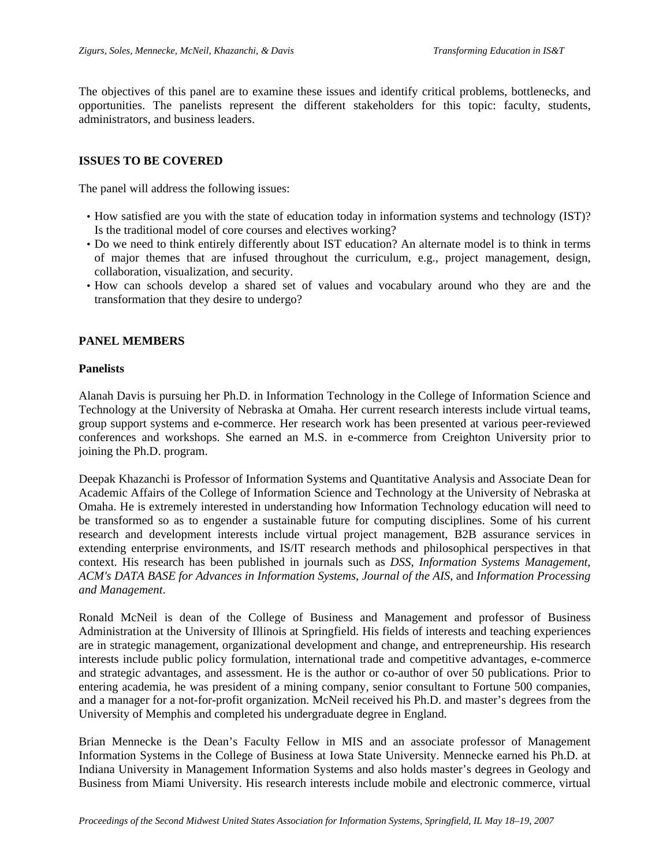The objectives of this panel are to examine these issues and identify critical problems, bottlenecks, and opportunities. The panelists represent the different stakeholders for this topic: faculty, students, administrators, and business leaders.

#### **ISSUES TO BE COVERED**

The panel will address the following issues:

- How satisfied are you with the state of education today in information systems and technology (IST)? Is the traditional model of core courses and electives working?
- Do we need to think entirely differently about IST education? An alternate model is to think in terms of major themes that are infused throughout the curriculum, e.g., project management, design, collaboration, visualization, and security.
- How can schools develop a shared set of values and vocabulary around who they are and the transformation that they desire to undergo?

#### **PANEL MEMBERS**

#### **Panelists**

Alanah Davis is pursuing her Ph.D. in Information Technology in the College of Information Science and Technology at the University of Nebraska at Omaha. Her current research interests include virtual teams, group support systems and e-commerce. Her research work has been presented at various peer-reviewed conferences and workshops. She earned an M.S. in e-commerce from Creighton University prior to joining the Ph.D. program.

Deepak Khazanchi is Professor of Information Systems and Quantitative Analysis and Associate Dean for Academic Affairs of the College of Information Science and Technology at the University of Nebraska at Omaha. He is extremely interested in understanding how Information Technology education will need to be transformed so as to engender a sustainable future for computing disciplines. Some of his current research and development interests include virtual project management, B2B assurance services in extending enterprise environments, and IS/IT research methods and philosophical perspectives in that context. His research has been published in journals such as *DSS*, *Information Systems Management*, *ACM's DATA BASE for Advances in Information Systems*, *Journal of the AIS*, and *Information Processing and Management*.

Ronald McNeil is dean of the College of Business and Management and professor of Business Administration at the University of Illinois at Springfield. His fields of interests and teaching experiences are in strategic management, organizational development and change, and entrepreneurship. His research interests include public policy formulation, international trade and competitive advantages, e-commerce and strategic advantages, and assessment. He is the author or co-author of over 50 publications. Prior to entering academia, he was president of a mining company, senior consultant to Fortune 500 companies, and a manager for a not-for-profit organization. McNeil received his Ph.D. and master's degrees from the University of Memphis and completed his undergraduate degree in England.

Brian Mennecke is the Dean's Faculty Fellow in MIS and an associate professor of Management Information Systems in the College of Business at Iowa State University. Mennecke earned his Ph.D. at Indiana University in Management Information Systems and also holds master's degrees in Geology and Business from Miami University. His research interests include mobile and electronic commerce, virtual